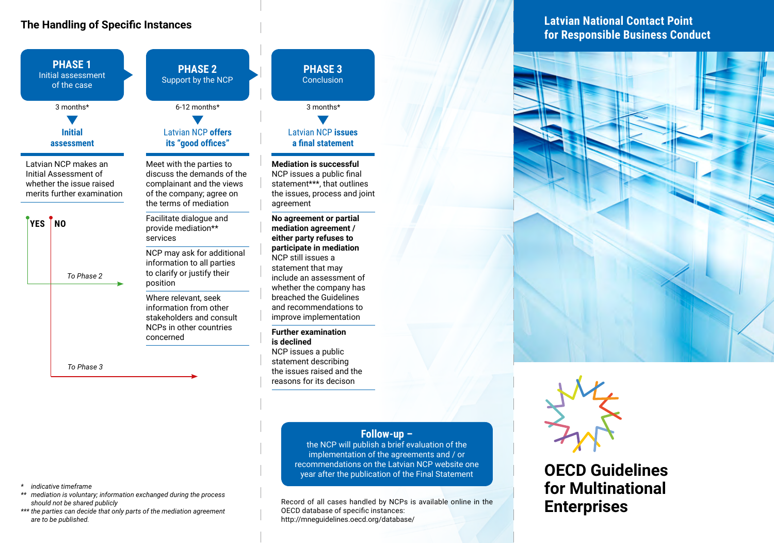# **The Handling of Specific Instances**



**PHASE 3 Conclusion** 

Latvian NCP **issues a final statement**

**Mediation is successful** NCP issues a public final statement\*\*\*, that outlines the issues, process and joint agreement

**No agreement or partial mediation agreement / either party refuses to participate in mediation** NCP still issues a statement that may include an assessment of whether the company has breached the Guidelines and recommendations to improve implementation

#### **Further examination is declined**

NCP issues a public statement describing the issues raised and the reasons for its decison

### **Follow-up –**

the NCP will publish a brief evaluation of the implementation of the agreements and / or recommendations on the Latvian NCP website one year after the publication of the Final Statement

Record of all cases handled by NCPs is available online in the OECD database of specific instances: http://mneguidelines.oecd.org/database/

**Latvian National Contact Point for Responsible Business Conduct**





**OECD Guidelines for Multinational Enterprises** 

- *\* indicative timeframe*
- *\*\* mediation is voluntary; information exchanged during the process should not be shared publicly*
- *\*\*\* the parties can decide that only parts of the mediation agreement are to be published.*